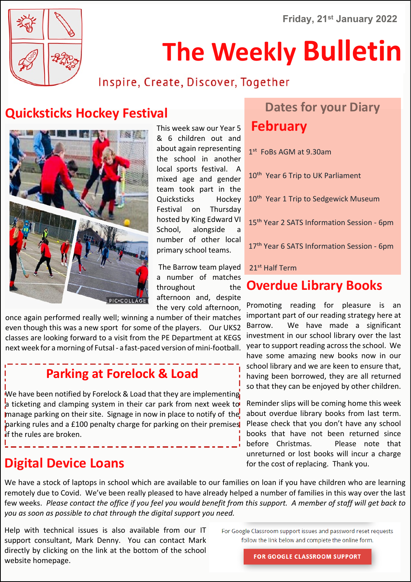**Friday, 21st January 2022**



# **The Weekly Bulletin**

### Inspire, Create, Discover, Together

## **Quicksticks Hockey Festival <b>Dates Follows** Dates for your Diary



This week saw our Year 5 & 6 children out and about again representing the school in another local sports festival. A mixed age and gender team took part in the Quicksticks Hockey Festival on Thursday hosted by King Edward VI School, alongside a number of other local primary school teams.

 The Barrow team played a number of matches throughout the afternoon and, despite the very cold afternoon,

once again performed really well; winning a number of their matches even though this was a new sport for some of the players. Our UKS2 classes are looking forward to a visit from the PE Department at KEGS next week for a morning of Futsal - a fast-paced version of mini-football.

## **Parking at Forelock & Load**

We have been notified by Forelock & Load that they are implementing a ticketing and clamping system in their car park from next week to manage parking on their site. Signage in now in place to notify of the parking rules and a £100 penalty charge for parking on their premises if the rules are broken.

### **Digital Device Loans for the cost of replacing. Thank you.**

# **February**

1<sup>st</sup> FoBs AGM at 9.30am

10<sup>th</sup> Year 6 Trip to UK Parliament

10<sup>th</sup> Year 1 Trip to Sedgewick Museum

15<sup>th</sup> Year 2 SATS Information Session - 6pm

17<sup>th</sup> Year 6 SATS Information Session - 6pm

#### 21<sup>st</sup> Half Term

#### **Overdue Library Books**

Promoting reading for pleasure is an important part of our reading strategy here at Barrow. We have made a significant investment in our school library over the last year to support reading across the school. We have some amazing new books now in our school library and we are keen to ensure that, having been borrowed, they are all returned so that they can be enjoyed by other children.

Reminder slips will be coming home this week about overdue library books from last term. Please check that you don't have any school books that have not been returned since before Christmas. Please note that unreturned or lost books will incur a charge

We have a stock of laptops in school which are available to our families on loan if you have children who are learning remotely due to Covid. We've been really pleased to have already helped a number of families in this way over the last few weeks. *Please contact the office if you feel you would benefit from this support. A member of staff will get back to you as soon as possible to chat through the digital support you need.*

Help with technical issues is also available from our IT support consultant, Mark Denny. You can contact Mark directly by clicking on the link at the bottom of the school website homepage.

For Google Classroom support issues and password reset requests follow the link below and complete the online form.

**FOR GOOGLE CLASSROOM SUPPORT**